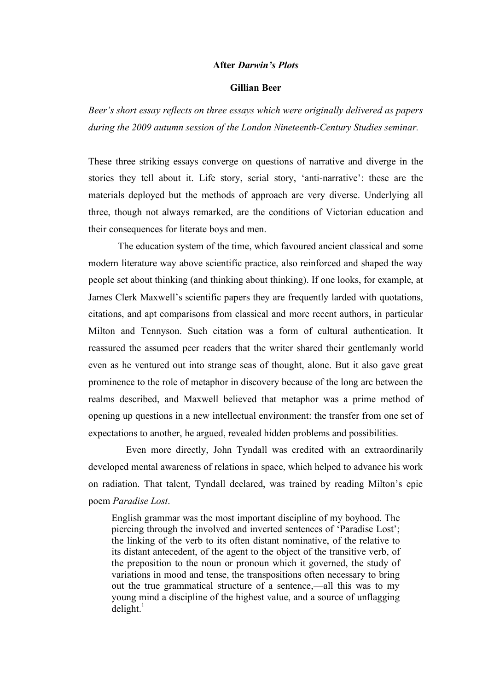## **After** *Darwin's Plots*

## **Gillian Beer**

*Beer's short essay reflects on three essays which were originally delivered as papers during the 2009 autumn session of the London Nineteenth-Century Studies seminar.*

These three striking essays converge on questions of narrative and diverge in the stories they tell about it. Life story, serial story, 'anti-narrative': these are the materials deployed but the methods of approach are very diverse. Underlying all three, though not always remarked, are the conditions of Victorian education and their consequences for literate boys and men.

The education system of the time, which favoured ancient classical and some modern literature way above scientific practice, also reinforced and shaped the way people set about thinking (and thinking about thinking). If one looks, for example, at James Clerk Maxwell's scientific papers they are frequently larded with quotations, citations, and apt comparisons from classical and more recent authors, in particular Milton and Tennyson. Such citation was a form of cultural authentication. It reassured the assumed peer readers that the writer shared their gentlemanly world even as he ventured out into strange seas of thought, alone. But it also gave great prominence to the role of metaphor in discovery because of the long arc between the realms described, and Maxwell believed that metaphor was a prime method of opening up questions in a new intellectual environment: the transfer from one set of expectations to another, he argued, revealed hidden problems and possibilities.

Even more directly, John Tyndall was credited with an extraordinarily developed mental awareness of relations in space, which helped to advance his work on radiation. That talent, Tyndall declared, was trained by reading Milton's epic poem *Paradise Lost*.

English grammar was the most important discipline of my boyhood. The piercing through the involved and inverted sentences of 'Paradise Lost'; the linking of the verb to its often distant nominative, of the relative to its distant antecedent, of the agent to the object of the transitive verb, of the preposition to the noun or pronoun which it governed, the study of variations in mood and tense, the transpositions often necessary to bring out the true grammatical structure of a sentence,—all this was to my young mind a discipline of the highest value, and a source of unflagging  $delight.$ <sup>1</sup>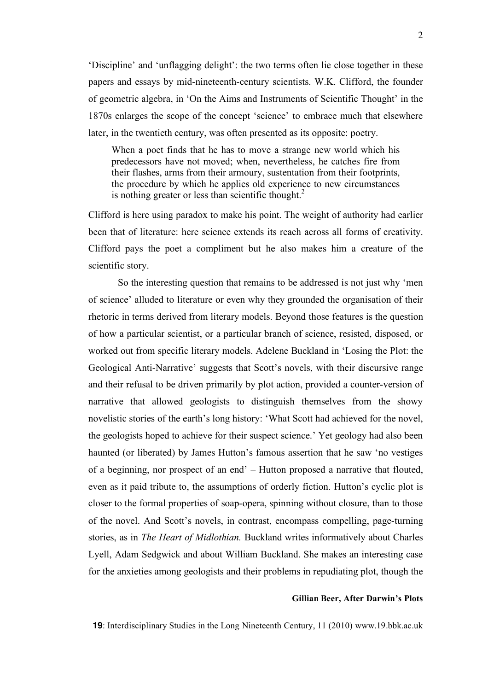'Discipline' and 'unflagging delight': the two terms often lie close together in these papers and essays by mid-nineteenth-century scientists. W.K. Clifford, the founder of geometric algebra, in 'On the Aims and Instruments of Scientific Thought' in the 1870s enlarges the scope of the concept 'science' to embrace much that elsewhere later, in the twentieth century, was often presented as its opposite: poetry.

When a poet finds that he has to move a strange new world which his predecessors have not moved; when, nevertheless, he catches fire from their flashes, arms from their armoury, sustentation from their footprints, the procedure by which he applies old experience to new circumstances is nothing greater or less than scientific thought.<sup>2</sup>

Clifford is here using paradox to make his point. The weight of authority had earlier been that of literature: here science extends its reach across all forms of creativity. Clifford pays the poet a compliment but he also makes him a creature of the scientific story.

So the interesting question that remains to be addressed is not just why 'men of science' alluded to literature or even why they grounded the organisation of their rhetoric in terms derived from literary models. Beyond those features is the question of how a particular scientist, or a particular branch of science, resisted, disposed, or worked out from specific literary models. Adelene Buckland in 'Losing the Plot: the Geological Anti-Narrative' suggests that Scott's novels, with their discursive range and their refusal to be driven primarily by plot action, provided a counter-version of narrative that allowed geologists to distinguish themselves from the showy novelistic stories of the earth's long history: 'What Scott had achieved for the novel, the geologists hoped to achieve for their suspect science.' Yet geology had also been haunted (or liberated) by James Hutton's famous assertion that he saw 'no vestiges of a beginning, nor prospect of an end' – Hutton proposed a narrative that flouted, even as it paid tribute to, the assumptions of orderly fiction. Hutton's cyclic plot is closer to the formal properties of soap-opera, spinning without closure, than to those of the novel. And Scott's novels, in contrast, encompass compelling, page-turning stories, as in *The Heart of Midlothian.* Buckland writes informatively about Charles Lyell, Adam Sedgwick and about William Buckland. She makes an interesting case for the anxieties among geologists and their problems in repudiating plot, though the

## **Gillian Beer, After Darwin's Plots**

**19**: Interdisciplinary Studies in the Long Nineteenth Century, 11 (2010) www.19.bbk.ac.uk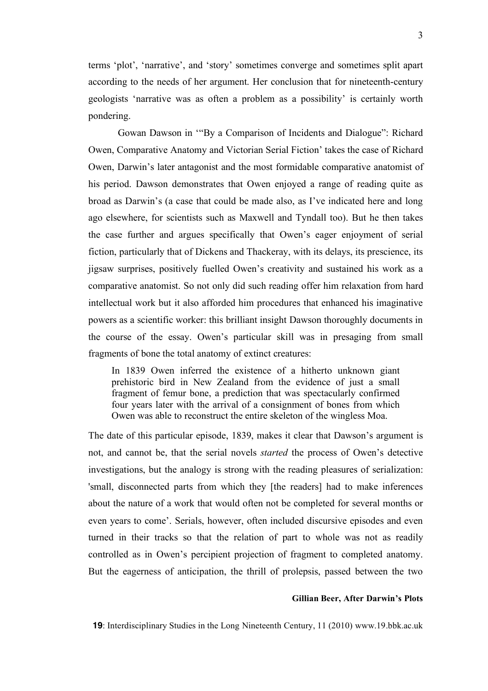terms 'plot', 'narrative', and 'story' sometimes converge and sometimes split apart according to the needs of her argument. Her conclusion that for nineteenth-century geologists 'narrative was as often a problem as a possibility' is certainly worth pondering.

Gowan Dawson in '"By a Comparison of Incidents and Dialogue": Richard Owen, Comparative Anatomy and Victorian Serial Fiction' takes the case of Richard Owen, Darwin's later antagonist and the most formidable comparative anatomist of his period. Dawson demonstrates that Owen enjoyed a range of reading quite as broad as Darwin's (a case that could be made also, as I've indicated here and long ago elsewhere, for scientists such as Maxwell and Tyndall too). But he then takes the case further and argues specifically that Owen's eager enjoyment of serial fiction, particularly that of Dickens and Thackeray, with its delays, its prescience, its jigsaw surprises, positively fuelled Owen's creativity and sustained his work as a comparative anatomist. So not only did such reading offer him relaxation from hard intellectual work but it also afforded him procedures that enhanced his imaginative powers as a scientific worker: this brilliant insight Dawson thoroughly documents in the course of the essay. Owen's particular skill was in presaging from small fragments of bone the total anatomy of extinct creatures:

In 1839 Owen inferred the existence of a hitherto unknown giant prehistoric bird in New Zealand from the evidence of just a small fragment of femur bone, a prediction that was spectacularly confirmed four years later with the arrival of a consignment of bones from which Owen was able to reconstruct the entire skeleton of the wingless Moa.

The date of this particular episode, 1839, makes it clear that Dawson's argument is not, and cannot be, that the serial novels *started* the process of Owen's detective investigations, but the analogy is strong with the reading pleasures of serialization: 'small, disconnected parts from which they [the readers] had to make inferences about the nature of a work that would often not be completed for several months or even years to come'. Serials, however, often included discursive episodes and even turned in their tracks so that the relation of part to whole was not as readily controlled as in Owen's percipient projection of fragment to completed anatomy. But the eagerness of anticipation, the thrill of prolepsis, passed between the two

# **Gillian Beer, After Darwin's Plots**

**19**: Interdisciplinary Studies in the Long Nineteenth Century, 11 (2010) www.19.bbk.ac.uk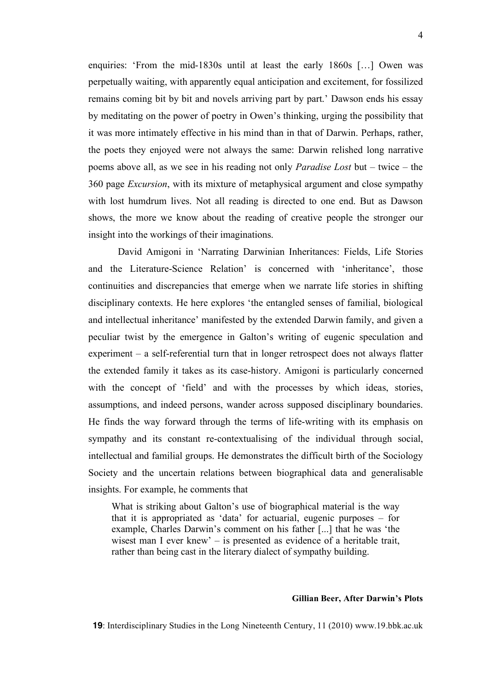enquiries: 'From the mid-1830s until at least the early 1860s […] Owen was perpetually waiting, with apparently equal anticipation and excitement, for fossilized remains coming bit by bit and novels arriving part by part.' Dawson ends his essay by meditating on the power of poetry in Owen's thinking, urging the possibility that it was more intimately effective in his mind than in that of Darwin. Perhaps, rather, the poets they enjoyed were not always the same: Darwin relished long narrative poems above all, as we see in his reading not only *Paradise Lost* but – twice – the 360 page *Excursion*, with its mixture of metaphysical argument and close sympathy with lost humdrum lives. Not all reading is directed to one end. But as Dawson shows, the more we know about the reading of creative people the stronger our insight into the workings of their imaginations.

David Amigoni in 'Narrating Darwinian Inheritances: Fields, Life Stories and the Literature-Science Relation' is concerned with 'inheritance', those continuities and discrepancies that emerge when we narrate life stories in shifting disciplinary contexts. He here explores 'the entangled senses of familial, biological and intellectual inheritance' manifested by the extended Darwin family, and given a peculiar twist by the emergence in Galton's writing of eugenic speculation and experiment – a self-referential turn that in longer retrospect does not always flatter the extended family it takes as its case-history. Amigoni is particularly concerned with the concept of 'field' and with the processes by which ideas, stories, assumptions, and indeed persons, wander across supposed disciplinary boundaries. He finds the way forward through the terms of life-writing with its emphasis on sympathy and its constant re-contextualising of the individual through social, intellectual and familial groups. He demonstrates the difficult birth of the Sociology Society and the uncertain relations between biographical data and generalisable insights. For example, he comments that

What is striking about Galton's use of biographical material is the way that it is appropriated as 'data' for actuarial, eugenic purposes – for example, Charles Darwin's comment on his father [...] that he was 'the wisest man I ever knew' – is presented as evidence of a heritable trait, rather than being cast in the literary dialect of sympathy building.

#### **Gillian Beer, After Darwin's Plots**

**19**: Interdisciplinary Studies in the Long Nineteenth Century, 11 (2010) www.19.bbk.ac.uk